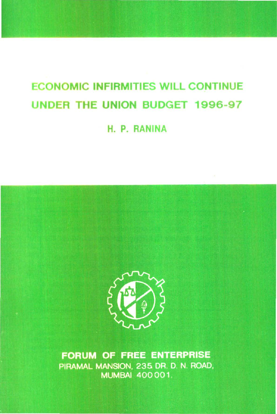# ECONOMIC INFIRMITIES WILL CONTINUE UNDER THE UNION BUDGET 1996-97

H. P. RANINA



FORUM OF FREE ENTERPRISE PIRAMAL MANSION, 235 DR. D. N. ROAD, **MUMBAI 400001.**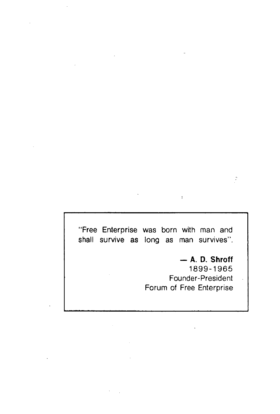"Free Enterprise was born with man and shall survive as long as man survives".

> - **A. D. Shroff**  1899-1965 Founder-President Forum of Free Enterprise

 $\bar{1}$ 

 $\ddot{\phantom{0}}$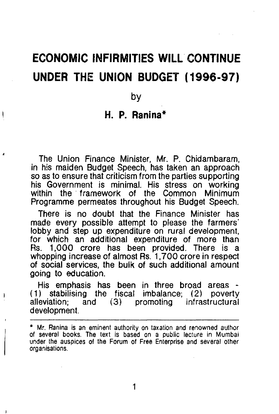# **ECONOMIC INFIRMITIES WILL CONTINUE UNDER THE UNION BUDGET (1996-97)**

by

### **H. P. Ranina\***

The Union Finance Minister, Mr. P. Chidambaram, in his maiden Budget Speech, has taken an approach so as to ensure that criticism from the parties supporting his Government is minimal. His stress on working<br>within the framework of the Common Minimum within the framework of the Common Programme permeates throughout his Budget Speech.

There is no doubt that the Finance Minister has made every possible attempt to please the farmers· lobby and step up expenditure on rural development, for which an additional expenditure of more than Rs. 1,000 crore has been provided. There is a whopping increase of almost Rs. 1, 700 crore in respect of social services, the bulk of such additional amount going to education.

His emphasis has been in three broad areas - ( 1 ) stabilising the fiscal imbalance; ( 2) poverty alleviation; and (3) promoting infrastructural development.

1

<sup>&</sup>quot; Mr. Ranina is an eminent authority on taxation and renowned author of several books. The text is based on a public lecture in Mumbai under the auspices of the Forum of Free Enterprise and several other organisations.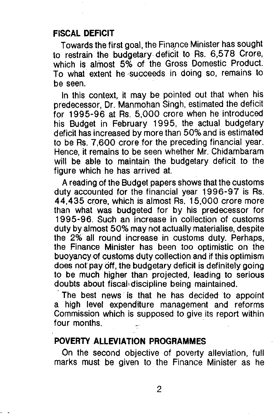#### FISCAL DEFICIT

Towards the first goal, the Finance Minister has sought to restrain the budgetary- deficit to Rs. 6,578 Crore, which is almost 5% of the Gross Domestic Product. To what extent he ·succeeds in doing so, remains to be seen.

In this context, it may be pointed out that when his predecessor, Dr. Manmohan Singh, estimated the deficit for 1995-96 at Rs. 5,000 crore when he introduced his Budget in February 1995, the actual budgetary deficit has increased by more than 50% and is estimated to be Rs. 7,600 crore for the preceding financial year. Hence, it remains to be seen whether Mr. Chidambaram will be able to maintain the budgetary deficit to the figure which he has arrived at.

A reading of the Budget papers shows that the customs duty accounted for the financial year 1996-97 is Rs. 44,435 crore, which is almost Rs. 15,000 crore more than what was budgeted for by his predecessor for 1995-96. Such an increase in collection of customs duty by almost 50% may not actually materialise, despite the 2% all round increase in customs duty. Perhaps, the Finance Minister has been too optimistic on the buoyancy of customs duty collection and if this optimism does not pay off, the budgetary deficit is definitely going to be much higher than projected, leading to serious doubts about fiscalo discipline being maintained.

The best news is that he has decided to appoint a high level expenditure management and reforms Commission which is supposed to give its report within four months.

# POVERTY ALLEVIATION PROGRAMMES

On the second objective of poverty alleviation, full marks must be given to the Finance Minister as he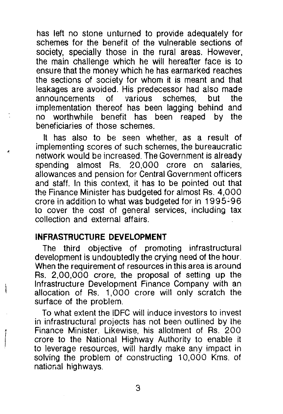has left no stone unturned to provide adequately for schemes for the benefit of the vulnerable sections of society, specially those in the rural areas. However, the main challenge which he will hereafter face is to ensure that the money which he has earmarked reaches the sections of society for whom it is meant and that leakages are avoided. His predecessor had also made announcements of various schemes, but the implementation thereof has been lagging behind and no worthwhile benefit has been reaped by the beneficiaries of those schemes.

It has also to be seen whether, as a result of implementing scores of such schemes, the bureaucratic network would be increased. The Government is already spending almost Rs. 20,000 crore on allowances and pension for Central Government officers and staff. In this context, it has to be pointed out that the Finance Minister has budgeted for almost Rs. 4,000 crore in addition to what was budgeted for in 1995~96 to cover the cost of general services, including tax collection and external affairs.

#### **INFRASTRUCTURE DEVELOPMENT**

The third objective of promoting infrastructural development is undoubtedly the crying need of the hour. When the requirement of resources in this area is around Rs. 2,00,000 crore, the proposal of setting up the Infrastructure Development Finance Company with an allocation of Rs. 1,000 crore will only scratch the surface of the problem.

To what extent the IDFC will induce investors to invest in infrastructural projects has not been outlined by the Finance Minister. Likewise, his allotment of Rs. 200 crore to the National Highway Authority to enable it to leverage resources, will hardly make any impact in solving the problem of constructing 10,000 Kms. of natior.al highways.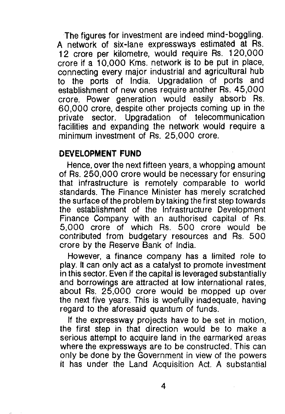The figures for investment are indeed mind-boggling. A network of six-lane expressways estimated at Rs. 12 crore per kilometre, would require Rs. 120,000 crore if a 10,000 Kms. network is to be put in place, connecting every major industrial and agricultural hub to the ports of India. Upgradation of ports and establishment of new ones require another Rs. 45,000 crore. Power generation would easily absorb Rs. 60,000 crore, despite other projects coming up in the private sector. Upgradation of telecommunication facilities and expanding the network would require a minimum investment of Rs. 25,000 crore.

## **DEVELOPMENT FUND**

Hence, over the next fifteen years, a whopping amount of Rs. 250,000 crore would be necessary for ensuring that infrastructure is remotely comparable to world standards. The Finance Minister has merely scratched the surface of the problem by taking the first step towards the establishment of the Infrastructure Development Finance Company with an authorised capital of Rs. 5,000 crore of which Rs. 500 crore would be contributed from budgetary resources and Rs. 500 crore by the Reserve Bank of India.

However, a finance company has a limited role to play. It can only act as a catalyst to promote investment in this sector. Even if the capital is leveraged substantially and borrowings are attracted at low international rates, about Rs. 25,000 crore would be mopped up over the next five years. This is woefully inadequate, having regard to the aforesaid quantum of funds.

If the expressway projects have to be set in motion, the first step in that direction would be to make a serious attempt to acquire land in the earmarked areas where the expressways are to be constructed. This can only be done by the Government in view of the powers it has under the Land Acquisition Act. A substantial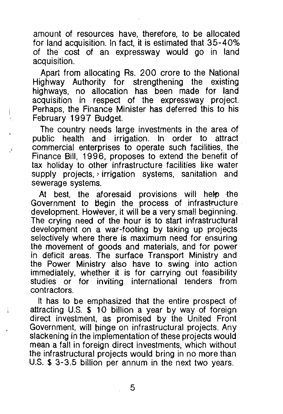amount of resources have, therefore, to be allocated for land acquisition. In fact, it is estimated that 35-40% of the cost of an expressway would go in land acquisition.

Apart from allocating Rs. 200 crore to the National Highway Authority for strengthening the existing highways, no allocation has been made for land acquisition in respect of the expressway project. Perhaps, the Finance Minister has deferred this to his February 1997 Budget.

 $\left\{ \right.$ 

The country needs large investments in the area of<br>ublic health and irrigation. In order to attract public health and irrigation. In order to commercial enterprises to operate such facilities, the Finance Bill, 1996, proposes to extend the benefit of tax holiday to other infrastructure facilities like water supply projects, irrigation systems, sanitation and sewerage systems.

At best, the aforesaid provisions will help the Government to begin the process of infrastructure development. However, it will be a very small beginning. The crying need of the hour is to start infrastructural development on a war-footing by taking up projects selectively where there is maximum need for ensuring the movement of goods and materials, and for power in deficit areas. The surface Transport Ministry and the Power Ministry also have to swing into action immediately, whether it is for carrying out feasibility studies or for inviting international tenders from contractors.

It has to be emphasized that the entire prospect of attracting U.S.  $$$  10 billion a year by way of foreign direct investment, as promised by the United Front Government, will binge on infrastructural projects. Any slackening in the implementation of these projects would mean a fall in foreign direct investments, which without the infrastructural projects would bring in no more than U.S. \$ 3-3.5 billion per annum in the next two years.

5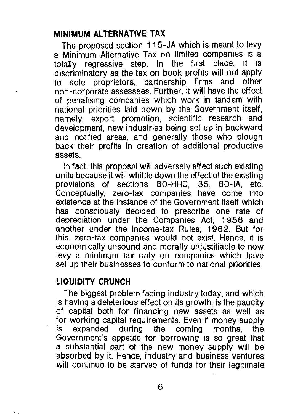# **MINIMUM ALTERNATIVE TAX**

The proposed section 115-JA which is meant to levy a Minimum Alternative Tax on limited companies is a totally regressive step. In the first place, it is discriminatory as the tax on book profits will not apply to sole proprietors, partnership firms and other non-corporate assessees. Further, it will have the effect of penalising companies which work in tandem with national priorities laid down by the Government itself, namely, export promotion, scientific research and development, new industries being set up in backward and notified areas, and generally those who plough back their profits in creation of additional productive assets.

In fact, this proposal will adversely affect such existing units because it will whittle down the effect of the existing provisions of sections 80-HHC, 35, 80-IA, etc. Conceptually, zero-tax companies have come into existence at the instance of the Government itself which has consciously decided to prescribe one rate of depreciation under the Companies Act, 1956 and another under the Income-tax Rules, 1962. But for this, zero-tax companies would not exist. Hence, it is economically unsound and morally unjustifiable to now levy a minimum tax only on companies which have set up their businesses to conform to national priorities.

## **LIQUIDITY CRUNCH**

The biggest problem facing industry today, and which is having a deleterious effect on its growth, is the paucity of capital both for financing new assets as well as for working capital requirements. Even if money supply<br>is expanded during the coming months, the is expanded during the coming months, the Government's appetite for borrowing is so great that a substantial part of the new money supply will be absorbed by it. Hence, industry and business ventures will continue to be starved of funds for their legitimate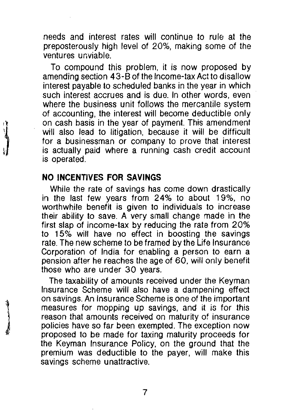needs and interest rates will continue to rule at the preposterously high level of 20%, making some of the ventures unviable.

To compound this problem, it is now proposed by amending section 43-8 of the Income-tax Act to disallow interest payable to scheduled banks in the year in which such interest accrues and is due. In other words, even where the business unit follows the mercantile system of accounting, the interest will become deductible only on cash basis in the year of payment. This amendment will also lead to litigation, because it will be difficult for a businessman or company to prove that interest is actually paid where a running cash credit account is operated.

## **NO INCENTIVES FOR SAVINGS**

While the rate of savings has come down drastically in the last few years from 24% to about 19%, no worthwhile benefit is given to individuals to increase their ability to save. A very small change made in the first slap of income-tax by reducing the rate from 20% to 15% will have no effect in boosting the savings rate. The new scheme to be framed by the Life Insurance Corporation of India for enabling a person to earn a pension after he reaches the age of 60, will only benefit those who are under 30 years.

The taxability of amounts received under the Keyman Insurance Scheme will also have a dampening effect on savings. An Insurance Scheme is one of the important measures for mopping up savings, and it is for this reason that amounts received on maturity of insurance policies have so far been exempted. The exception now proposed to be made for taxing maturity proceeds for the Keyman Insurance Policy, on the ground that the premium was deductible to the payer, will make this savings scheme unattractive.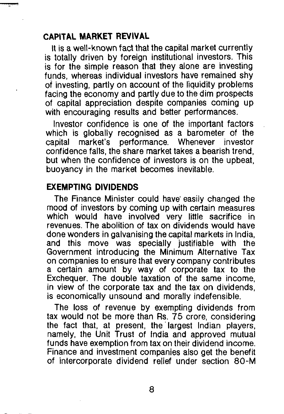# **CAPITAL MARKET REVIVAL**

It is a well-known fact that the capital market currently is totally driven by foreign institutional investors. This is for the simple reason that they alone are investing funds, whereas individual investors have remained shy of investing, partly on account of the liquidity problems facing the economy and partly due to the dim prospects of capital appreciation despite companies coming up with encouraging results and better performances.

Investor confidence is one of the important factors which is globally recognised as a barometer of the capital market's performance. Whenever investor confidence falls, the share market takes a bearish trend, but when the confidence of investors is on the upbeat, buoyancy in the market becomes inevitable.

# **EXEMPTING DIVIDENDS**

The Finance Minister could have easily changed the mood of investors by coming up with certain measures which would have involved very little sacrifice in revenues. The abolition of tax on dividends would have done wonders in galvanising the capital markets in India, and this move was specially justifiable with the Government introducing the Minimum Alternative Tax on companies to ensure that every company contributes a certain amount by way of corporate tax to the Exchequer. The double taxation of the same income, in view of the corporate tax and the tax on dividends, is economically unsound and morally indefensible.

The loss of revenue by exempting dividends from tax would not be more than Rs. 75 crore, considering the fact that, at present, the largest Indian players, namely, the Unit Trust of India and approved mutual funds have exemption from tax on their dividend income. Finance and investment companies also get the benefit of intercorporate dividend relief under section 80-M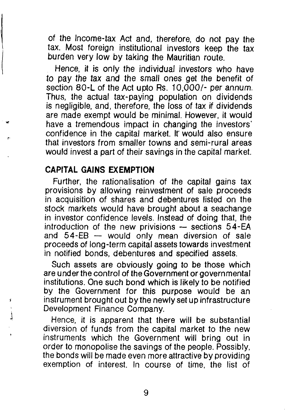of the Income-tax Act and, therefore, do not pay the tax. Most foreign institutional investors keep the tax burden very low by taking the Mauritian route.

Hence, it is only the individual investors who have to pay the tax and the small ones get the benefit of section 80-L of the Act upto Rs. 10,000/- per annum. Thus, the actual tax-paying population on dividends is negligible, and, therefore, the loss of tax if dividends are made exempt would be minimal. However, it would have a tremendous impact in changing the investors' confidence in the capital market. It' would also ensure that investors from smaller towns and semi-rural areas would invest a part of their savings in the capital market.

#### **CAPITAL GAINS EXEMPTION**

j

Further, the rationalisation of the capital gains tax provisions by allowing reinvestment of sale proceeds in acquisition of shares and debentures listed on the stock markets would have brought about a seachange in investor confidence levels. Instead of doing that, the introduction of the new privisions  $-$  sections  $54-EA$ and  $54$ -EB  $-$  would only mean diversion of sale proceeds of long-term capital assets towards investment in notified bonds, debentures and specified assets.

Such assets are obviously going to be those which are under the control of the Government or governmental institutions. One such bond which is likely to be notified by the Government for this purpose would be an instrument brought out by the newly set up infrastructure Development Finance Company.

Hence, it is apparent that there will be substantial diversion of funds from the capital market to the new instruments which the Government will bring out in order to monopolise the savings of the people. Possibly, the bonds will be made even more attractive by providing exemption of interest. In course of time. the list of

9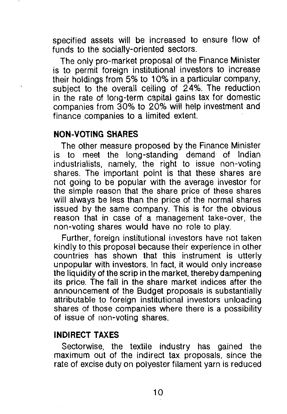specified assets will be increased to ensure flow of funds to the socially-oriented sectors.

The only pro-market proposal of the Finance Minister is to permit foreign institutional investors to increase their holdings from 5% to 10% in a particular company, subject to the overall ceiling of 24%. The reduction in the rate of long-term capital gains tax for domestic companies from 30% to 20% will help investment and finance companies to a limited extent.

# **NON-VOTING SHARES**

The other measure proposed by the Finance Minister is to meet the long-standing demand of Indian industrialists, namely, the right to issue non-voting shares. The important point is that these shares are not going to be popular with the average investor for the simple reason that the share price of these shares will always be less than the price of the normal shares issued by the same company. This is for the obvious reason that in case of a management take-over, the non-voting shares would have no role to play.

Further, foreign institutional investors have not taken kindly to this proposal because their experience in other countries has shown that this instrument is utterly unpopular with investors. In fact, it would only increase the liquidity of the scrip in the market, thereby dampening its price. The fall in the share market indices after the announcement of the Budget proposals is substantially attributable to foreign institutional investors unloading shares of those companies where there is a possibility of issue of non-voting shares.

## **INDIRECT TAXES**

Sectorwise, the textile industry has gained the maximum out of the indirect tax proposals, since the rate of excise duty on polyester filament yarn is reduced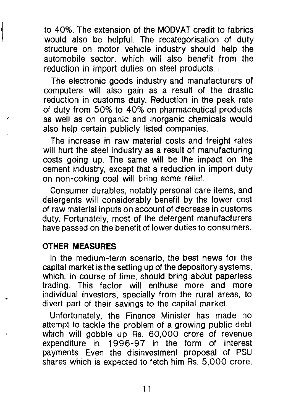to 40%. The extension of the MODVAT credit to fabrics would also be helpful. The recategorisation of duty structure on motor vehicle industry should help the automobile sector, which will also benefit from the reduction in import duties on steel products.

The electronic goods industry and manufacturers of computers will also gain as a result of the drastic reduction in customs duty. Reduction in the peak rate of duty from 50% to 40% on pharmaceutical products as well as on organic and inorganic chemicals would also help certain publicly listed companies.

The increase in raw material costs and freight rates will hurt the steel industry as a result of manufacturing costs going up. The same will be the impact on the cement industry, except that a reduction in import duty on non-coking coal will bring some relief.

Consumer durables, notably personal care items, and detergents will considerably benefit by the lower cost of raw material inputs on account of decrease in customs duty. Fortunately, most of the detergent manufacturers have passed on the benefit of lower duties to consumers.

### **OTHER MEASURES**

In the medium-term scenario, the best news for the capital market is the setting up of the depository systems, which, in course of time, should bring about paperless trading. This factor will enthuse more and more individual investors, specially from the rural areas, to divert part of their savings to the capital market.

Unfortunately, the Finance Minister has made no attempt to tackle the problem of a growing public debt which will gobble up Rs. 60,000 crore of revenue expenditure in 1996-97 in the form of interest payments. Even the disinvestment proposal of PSU shares which is expected to fetch him Rs. 5,000 crore,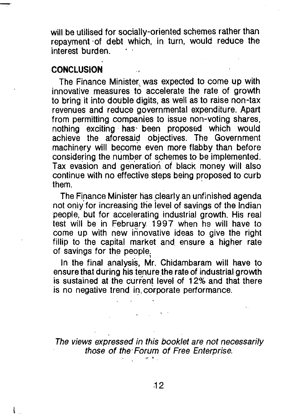will be utilised for socially-oriented schemes rather than repayment ·of debt which, in turn, would reduce the interest burden.

#### **CONCLUSION**

The Finance Minister, was expected to come up with innovative measures to accelerate the rate of growth to bring it into double digits, as well as to raise non-tax revenues and reduce governmental expenditure. Apart from permitting companies to issue non-voting shares, nothing exciting· has· been proposed which would achieve the aforesaid objectives. The Government machinery will become even more flabby than before considering the number of schemes to be implemented. Tax evasion and generation of black money will also continue with no effective steps being proposed to curb<br>them them.  $\blacksquare$ 

The Finance Minister has clearly an unfinished agenda not only for increasing the level of savings of the Indian people, but for accelerating industrial growth. His real test will be in February 1997 when he will have to come up with new innovative ideas to give the right fillip to the capital market and ensure a higher rate of savings for the people.

In the final analysis, Mr. Chidambaram will have to ensure that during his tenure the rate of industrial growth is sustained at the current level of 12% and that there is no negative trend in, corporate performance.

The views expressed in this booklet are not necessarily those of the Forum of Free Enterprise.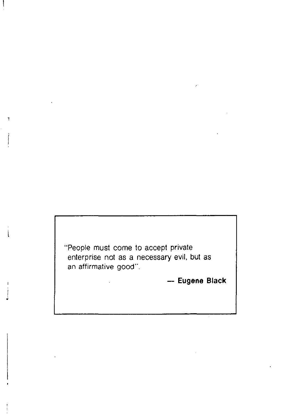"People must come to accept private enterprise not as a necessary evil, but as an affirmative good".

ĭ

- **Eugene Black**